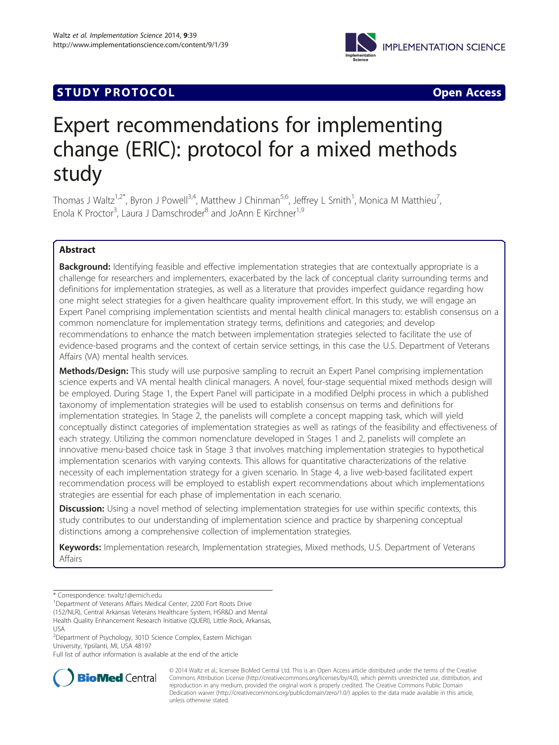

# **STUDY PROTOCOL CONSUMING THE CONSUMING OPEN ACCESS**

# Expert recommendations for implementing change (ERIC): protocol for a mixed methods study

Thomas J Waltz<sup>1,2\*</sup>, Byron J Powell<sup>3,4</sup>, Matthew J Chinman<sup>5,6</sup>, Jeffrey L Smith<sup>1</sup>, Monica M Matthieu<sup>7</sup> , Enola K Proctor<sup>3</sup>, Laura J Damschroder<sup>8</sup> and JoAnn E Kirchner<sup>1,9</sup>

# Abstract

Background: Identifying feasible and effective implementation strategies that are contextually appropriate is a challenge for researchers and implementers, exacerbated by the lack of conceptual clarity surrounding terms and definitions for implementation strategies, as well as a literature that provides imperfect guidance regarding how one might select strategies for a given healthcare quality improvement effort. In this study, we will engage an Expert Panel comprising implementation scientists and mental health clinical managers to: establish consensus on a common nomenclature for implementation strategy terms, definitions and categories; and develop recommendations to enhance the match between implementation strategies selected to facilitate the use of evidence-based programs and the context of certain service settings, in this case the U.S. Department of Veterans Affairs (VA) mental health services.

**Methods/Design:** This study will use purposive sampling to recruit an Expert Panel comprising implementation science experts and VA mental health clinical managers. A novel, four-stage sequential mixed methods design will be employed. During Stage 1, the Expert Panel will participate in a modified Delphi process in which a published taxonomy of implementation strategies will be used to establish consensus on terms and definitions for implementation strategies. In Stage 2, the panelists will complete a concept mapping task, which will yield conceptually distinct categories of implementation strategies as well as ratings of the feasibility and effectiveness of each strategy. Utilizing the common nomenclature developed in Stages 1 and 2, panelists will complete an innovative menu-based choice task in Stage 3 that involves matching implementation strategies to hypothetical implementation scenarios with varying contexts. This allows for quantitative characterizations of the relative necessity of each implementation strategy for a given scenario. In Stage 4, a live web-based facilitated expert recommendation process will be employed to establish expert recommendations about which implementations strategies are essential for each phase of implementation in each scenario.

**Discussion:** Using a novel method of selecting implementation strategies for use within specific contexts, this study contributes to our understanding of implementation science and practice by sharpening conceptual distinctions among a comprehensive collection of implementation strategies.

Keywords: Implementation research, Implementation strategies, Mixed methods, U.S. Department of Veterans Affairs

\* Correspondence: [twaltz1@emich.edu](mailto:twaltz1@emich.edu) <sup>1</sup>

<sup>1</sup>Department of Veterans Affairs Medical Center, 2200 Fort Roots Drive (152/NLR), Central Arkansas Veterans Healthcare System, HSR&D and Mental

Health Quality Enhancement Research Initiative (QUERI), Little Rock, Arkansas,

USA

2 Department of Psychology, 301D Science Complex, Eastern Michigan University, Ypsilanti, MI, USA 48197

Full list of author information is available at the end of the article



© 2014 Waltz et al.; licensee BioMed Central Ltd. This is an Open Access article distributed under the terms of the Creative Commons Attribution License [\(http://creativecommons.org/licenses/by/4.0\)](http://creativecommons.org/licenses/by/4.0), which permits unrestricted use, distribution, and reproduction in any medium, provided the original work is properly credited. The Creative Commons Public Domain Dedication waiver [\(http://creativecommons.org/publicdomain/zero/1.0/](http://creativecommons.org/publicdomain/zero/1.0/)) applies to the data made available in this article, unless otherwise stated.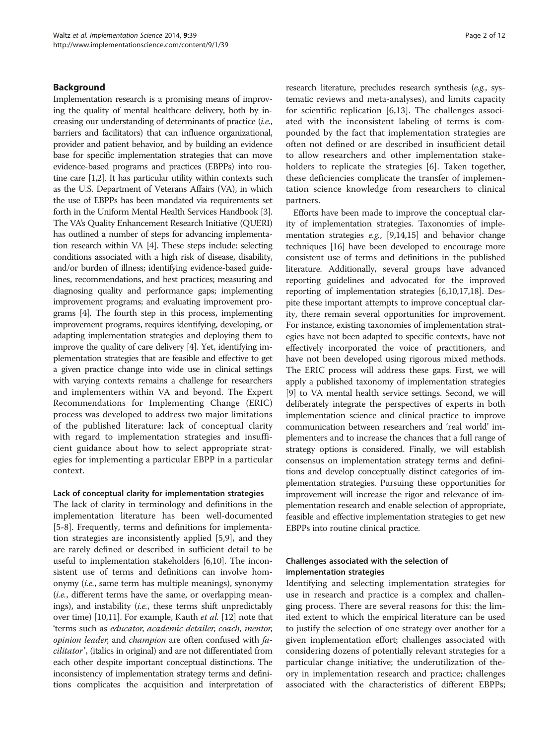# Background

Implementation research is a promising means of improving the quality of mental healthcare delivery, both by increasing our understanding of determinants of practice (i.e., barriers and facilitators) that can influence organizational, provider and patient behavior, and by building an evidence base for specific implementation strategies that can move evidence-based programs and practices (EBPPs) into routine care [\[1,2](#page-9-0)]. It has particular utility within contexts such as the U.S. Department of Veterans Affairs (VA), in which the use of EBPPs has been mandated via requirements set forth in the Uniform Mental Health Services Handbook [[3](#page-9-0)]. The VA's Quality Enhancement Research Initiative (QUERI) has outlined a number of steps for advancing implementation research within VA [\[4\]](#page-9-0). These steps include: selecting conditions associated with a high risk of disease, disability, and/or burden of illness; identifying evidence-based guidelines, recommendations, and best practices; measuring and diagnosing quality and performance gaps; implementing improvement programs; and evaluating improvement programs [[4](#page-9-0)]. The fourth step in this process, implementing improvement programs, requires identifying, developing, or adapting implementation strategies and deploying them to improve the quality of care delivery [\[4\]](#page-9-0). Yet, identifying implementation strategies that are feasible and effective to get a given practice change into wide use in clinical settings with varying contexts remains a challenge for researchers and implementers within VA and beyond. The Expert Recommendations for Implementing Change (ERIC) process was developed to address two major limitations of the published literature: lack of conceptual clarity with regard to implementation strategies and insufficient guidance about how to select appropriate strategies for implementing a particular EBPP in a particular context.

#### Lack of conceptual clarity for implementation strategies

The lack of clarity in terminology and definitions in the implementation literature has been well-documented [[5-8](#page-9-0)]. Frequently, terms and definitions for implementation strategies are inconsistently applied [[5,9\]](#page-9-0), and they are rarely defined or described in sufficient detail to be useful to implementation stakeholders [[6,10](#page-9-0)]. The inconsistent use of terms and definitions can involve homonymy (i.e., same term has multiple meanings), synonymy (i.e., different terms have the same, or overlapping meanings), and instability (i.e., these terms shift unpredictably over time) [\[10,11\]](#page-9-0). For example, Kauth *et al.* [\[12\]](#page-9-0) note that 'terms such as educator, academic detailer, coach, mentor, opinion leader, and champion are often confused with facilitator', (italics in original) and are not differentiated from each other despite important conceptual distinctions. The inconsistency of implementation strategy terms and definitions complicates the acquisition and interpretation of research literature, precludes research synthesis (e.g., systematic reviews and meta-analyses), and limits capacity for scientific replication [[6,13](#page-9-0)]. The challenges associated with the inconsistent labeling of terms is compounded by the fact that implementation strategies are often not defined or are described in insufficient detail to allow researchers and other implementation stakeholders to replicate the strategies [[6\]](#page-9-0). Taken together, these deficiencies complicate the transfer of implementation science knowledge from researchers to clinical partners.

Efforts have been made to improve the conceptual clarity of implementation strategies. Taxonomies of implementation strategies e.g., [\[9,14,15](#page-9-0)] and behavior change techniques [[16](#page-9-0)] have been developed to encourage more consistent use of terms and definitions in the published literature. Additionally, several groups have advanced reporting guidelines and advocated for the improved reporting of implementation strategies [\[6,10,17,18](#page-9-0)]. Despite these important attempts to improve conceptual clarity, there remain several opportunities for improvement. For instance, existing taxonomies of implementation strategies have not been adapted to specific contexts, have not effectively incorporated the voice of practitioners, and have not been developed using rigorous mixed methods. The ERIC process will address these gaps. First, we will apply a published taxonomy of implementation strategies [[9\]](#page-9-0) to VA mental health service settings. Second, we will deliberately integrate the perspectives of experts in both implementation science and clinical practice to improve communication between researchers and 'real world' implementers and to increase the chances that a full range of strategy options is considered. Finally, we will establish consensus on implementation strategy terms and definitions and develop conceptually distinct categories of implementation strategies. Pursuing these opportunities for improvement will increase the rigor and relevance of implementation research and enable selection of appropriate, feasible and effective implementation strategies to get new EBPPs into routine clinical practice.

# Challenges associated with the selection of implementation strategies

Identifying and selecting implementation strategies for use in research and practice is a complex and challenging process. There are several reasons for this: the limited extent to which the empirical literature can be used to justify the selection of one strategy over another for a given implementation effort; challenges associated with considering dozens of potentially relevant strategies for a particular change initiative; the underutilization of theory in implementation research and practice; challenges associated with the characteristics of different EBPPs;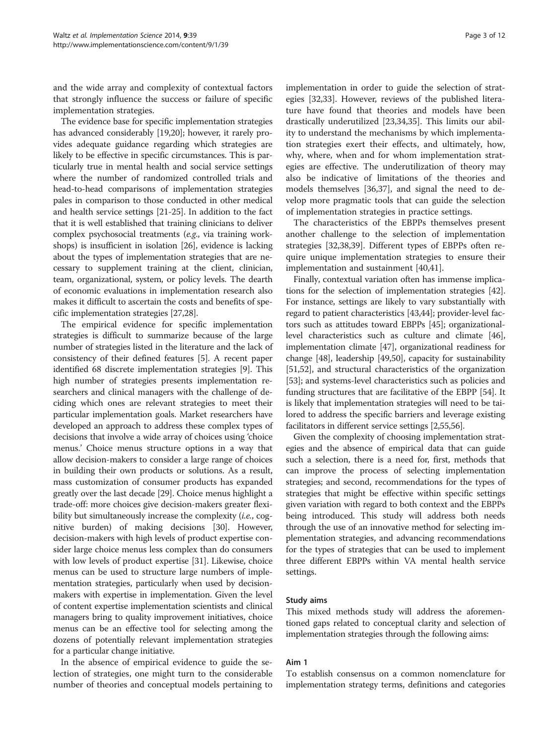and the wide array and complexity of contextual factors that strongly influence the success or failure of specific implementation strategies.

The evidence base for specific implementation strategies has advanced considerably [\[19,20\]](#page-10-0); however, it rarely provides adequate guidance regarding which strategies are likely to be effective in specific circumstances. This is particularly true in mental health and social service settings where the number of randomized controlled trials and head-to-head comparisons of implementation strategies pales in comparison to those conducted in other medical and health service settings [[21](#page-10-0)-[25\]](#page-10-0). In addition to the fact that it is well established that training clinicians to deliver complex psychosocial treatments (e.g., via training workshops) is insufficient in isolation [[26](#page-10-0)], evidence is lacking about the types of implementation strategies that are necessary to supplement training at the client, clinician, team, organizational, system, or policy levels. The dearth of economic evaluations in implementation research also makes it difficult to ascertain the costs and benefits of specific implementation strategies [[27,28\]](#page-10-0).

The empirical evidence for specific implementation strategies is difficult to summarize because of the large number of strategies listed in the literature and the lack of consistency of their defined features [[5](#page-9-0)]. A recent paper identified 68 discrete implementation strategies [[9\]](#page-9-0). This high number of strategies presents implementation researchers and clinical managers with the challenge of deciding which ones are relevant strategies to meet their particular implementation goals. Market researchers have developed an approach to address these complex types of decisions that involve a wide array of choices using 'choice menus.' Choice menus structure options in a way that allow decision-makers to consider a large range of choices in building their own products or solutions. As a result, mass customization of consumer products has expanded greatly over the last decade [[29\]](#page-10-0). Choice menus highlight a trade-off: more choices give decision-makers greater flexibility but simultaneously increase the complexity (i.e., cognitive burden) of making decisions [[30\]](#page-10-0). However, decision-makers with high levels of product expertise consider large choice menus less complex than do consumers with low levels of product expertise [\[31\]](#page-10-0). Likewise, choice menus can be used to structure large numbers of implementation strategies, particularly when used by decisionmakers with expertise in implementation. Given the level of content expertise implementation scientists and clinical managers bring to quality improvement initiatives, choice menus can be an effective tool for selecting among the dozens of potentially relevant implementation strategies for a particular change initiative.

In the absence of empirical evidence to guide the selection of strategies, one might turn to the considerable number of theories and conceptual models pertaining to implementation in order to guide the selection of strategies [\[32,33\]](#page-10-0). However, reviews of the published literature have found that theories and models have been drastically underutilized [[23,34,35\]](#page-10-0). This limits our ability to understand the mechanisms by which implementation strategies exert their effects, and ultimately, how, why, where, when and for whom implementation strategies are effective. The underutilization of theory may also be indicative of limitations of the theories and models themselves [\[36,37\]](#page-10-0), and signal the need to develop more pragmatic tools that can guide the selection of implementation strategies in practice settings.

The characteristics of the EBPPs themselves present another challenge to the selection of implementation strategies [\[32,38,39\]](#page-10-0). Different types of EBPPs often require unique implementation strategies to ensure their implementation and sustainment [\[40,41\]](#page-10-0).

Finally, contextual variation often has immense implications for the selection of implementation strategies [[42](#page-10-0)]. For instance, settings are likely to vary substantially with regard to patient characteristics [[43,44](#page-10-0)]; provider-level factors such as attitudes toward EBPPs [[45\]](#page-10-0); organizationallevel characteristics such as culture and climate [[46](#page-10-0)], implementation climate [[47](#page-10-0)], organizational readiness for change [[48](#page-10-0)], leadership [\[49,50\]](#page-10-0), capacity for sustainability [[51](#page-10-0),[52](#page-10-0)], and structural characteristics of the organization [[53](#page-10-0)]; and systems-level characteristics such as policies and funding structures that are facilitative of the EBPP [\[54\]](#page-10-0). It is likely that implementation strategies will need to be tailored to address the specific barriers and leverage existing facilitators in different service settings [[2,](#page-9-0)[55,56](#page-10-0)].

Given the complexity of choosing implementation strategies and the absence of empirical data that can guide such a selection, there is a need for, first, methods that can improve the process of selecting implementation strategies; and second, recommendations for the types of strategies that might be effective within specific settings given variation with regard to both context and the EBPPs being introduced. This study will address both needs through the use of an innovative method for selecting implementation strategies, and advancing recommendations for the types of strategies that can be used to implement three different EBPPs within VA mental health service settings.

#### Study aims

This mixed methods study will address the aforementioned gaps related to conceptual clarity and selection of implementation strategies through the following aims:

#### Aim 1

To establish consensus on a common nomenclature for implementation strategy terms, definitions and categories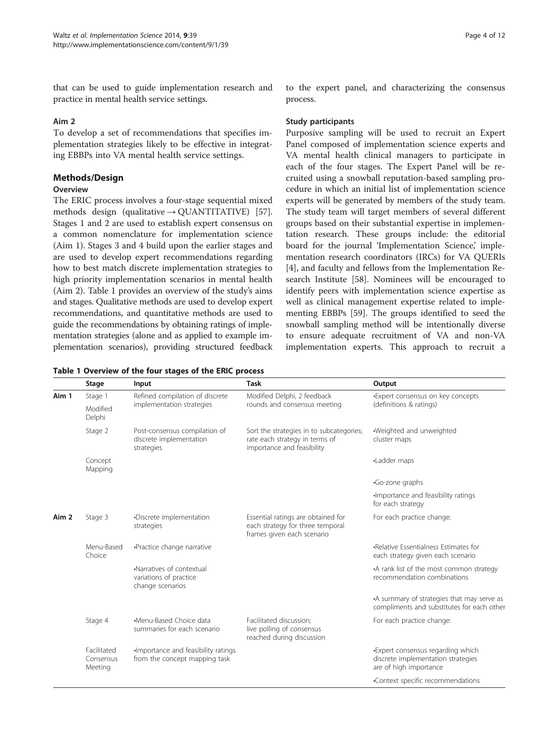<span id="page-3-0"></span>that can be used to guide implementation research and practice in mental health service settings.

#### Aim 2

To develop a set of recommendations that specifies implementation strategies likely to be effective in integrating EBBPs into VA mental health service settings.

# Methods/Design

# **Overview**

The ERIC process involves a four-stage sequential mixed methods design (qualitative  $\rightarrow$  QUANTITATIVE) [\[57](#page-10-0)]. Stages 1 and 2 are used to establish expert consensus on a common nomenclature for implementation science (Aim 1). Stages 3 and 4 build upon the earlier stages and are used to develop expert recommendations regarding how to best match discrete implementation strategies to high priority implementation scenarios in mental health (Aim 2). Table 1 provides an overview of the study's aims and stages. Qualitative methods are used to develop expert recommendations, and quantitative methods are used to guide the recommendations by obtaining ratings of implementation strategies (alone and as applied to example implementation scenarios), providing structured feedback to the expert panel, and characterizing the consensus process.

#### Study participants

Purposive sampling will be used to recruit an Expert Panel composed of implementation science experts and VA mental health clinical managers to participate in each of the four stages. The Expert Panel will be recruited using a snowball reputation-based sampling procedure in which an initial list of implementation science experts will be generated by members of the study team. The study team will target members of several different groups based on their substantial expertise in implementation research. These groups include: the editorial board for the journal 'Implementation Science,' implementation research coordinators (IRCs) for VA QUERIs [[4\]](#page-9-0), and faculty and fellows from the Implementation Research Institute [\[58\]](#page-10-0). Nominees will be encouraged to identify peers with implementation science expertise as well as clinical management expertise related to implementing EBBPs [[59](#page-10-0)]. The groups identified to seed the snowball sampling method will be intentionally diverse to ensure adequate recruitment of VA and non-VA implementation experts. This approach to recruit a

Table 1 Overview of the four stages of the ERIC process

|       | Stage                               | Input                                                                   | Task                                                                                                     | Output                                                                                            |  |  |
|-------|-------------------------------------|-------------------------------------------------------------------------|----------------------------------------------------------------------------------------------------------|---------------------------------------------------------------------------------------------------|--|--|
| Aim 1 | Stage 1                             | Refined compilation of discrete                                         | Modified Delphi, 2 feedback                                                                              | ·Expert consensus on key concepts                                                                 |  |  |
|       | Modified<br>Delphi                  | implementation strategies                                               | rounds and consensus meeting                                                                             | (definitions & ratings)                                                                           |  |  |
|       | Stage 2                             | Post-consensus compilation of<br>discrete implementation<br>strategies  | Sort the strategies in to subcategories;<br>rate each strategy in terms of<br>importance and feasibility | Weighted and unweighted<br>cluster maps                                                           |  |  |
|       | Concept<br>Mapping                  |                                                                         |                                                                                                          | ·Ladder maps                                                                                      |  |  |
|       |                                     |                                                                         |                                                                                                          | Go-zone graphs                                                                                    |  |  |
|       |                                     |                                                                         |                                                                                                          | Importance and feasibility ratings<br>for each strategy                                           |  |  |
| Aim 2 | Stage 3                             | ·Discrete implementation<br>strategies                                  | Essential ratings are obtained for<br>each strategy for three temporal<br>frames given each scenario     | For each practice change:                                                                         |  |  |
|       | Menu-Based<br>Choice                | ·Practice change narrative                                              |                                                                                                          | .Relative Essentialness Estimates for<br>each strategy given each scenario                        |  |  |
|       |                                     | •Narratives of contextual<br>variations of practice<br>change scenarios |                                                                                                          | •A rank list of the most common strategy<br>recommendation combinations                           |  |  |
|       |                                     |                                                                         |                                                                                                          | -A summary of strategies that may serve as<br>compliments and substitutes for each other          |  |  |
|       | Stage 4                             | •Menu-Based Choice data<br>summaries for each scenario                  | Facilitated discussion:<br>live polling of consensus<br>reached during discussion                        | For each practice change:                                                                         |  |  |
|       | Facilitated<br>Consensus<br>Meeting | Importance and feasibility ratings<br>from the concept mapping task     |                                                                                                          | ·Expert consensus regarding which<br>discrete implementation strategies<br>are of high importance |  |  |
|       |                                     |                                                                         |                                                                                                          | •Context specific recommendations                                                                 |  |  |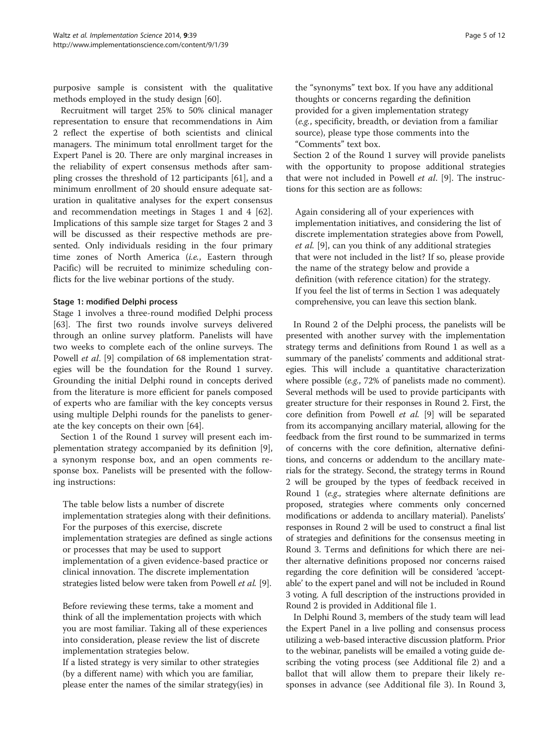purposive sample is consistent with the qualitative methods employed in the study design [[60\]](#page-10-0).

Recruitment will target 25% to 50% clinical manager representation to ensure that recommendations in Aim 2 reflect the expertise of both scientists and clinical managers. The minimum total enrollment target for the Expert Panel is 20. There are only marginal increases in the reliability of expert consensus methods after sampling crosses the threshold of 12 participants [\[61](#page-10-0)], and a minimum enrollment of 20 should ensure adequate saturation in qualitative analyses for the expert consensus and recommendation meetings in Stages 1 and 4 [\[62](#page-10-0)]. Implications of this sample size target for Stages 2 and 3 will be discussed as their respective methods are presented. Only individuals residing in the four primary time zones of North America (i.e., Eastern through Pacific) will be recruited to minimize scheduling conflicts for the live webinar portions of the study.

#### Stage 1: modified Delphi process

Stage 1 involves a three-round modified Delphi process [[63\]](#page-10-0). The first two rounds involve surveys delivered through an online survey platform. Panelists will have two weeks to complete each of the online surveys. The Powell et al. [[9\]](#page-9-0) compilation of 68 implementation strategies will be the foundation for the Round 1 survey. Grounding the initial Delphi round in concepts derived from the literature is more efficient for panels composed of experts who are familiar with the key concepts versus using multiple Delphi rounds for the panelists to generate the key concepts on their own [\[64\]](#page-10-0).

Section 1 of the Round 1 survey will present each implementation strategy accompanied by its definition [\[9](#page-9-0)], a synonym response box, and an open comments response box. Panelists will be presented with the following instructions:

The table below lists a number of discrete implementation strategies along with their definitions. For the purposes of this exercise, discrete implementation strategies are defined as single actions or processes that may be used to support implementation of a given evidence-based practice or clinical innovation. The discrete implementation strategies listed below were taken from Powell *et al.* [\[9](#page-9-0)].

Before reviewing these terms, take a moment and think of all the implementation projects with which you are most familiar. Taking all of these experiences into consideration, please review the list of discrete implementation strategies below.

If a listed strategy is very similar to other strategies (by a different name) with which you are familiar, please enter the names of the similar strategy(ies) in the "synonyms" text box. If you have any additional thoughts or concerns regarding the definition provided for a given implementation strategy (e.g., specificity, breadth, or deviation from a familiar source), please type those comments into the "Comments" text box.

Section 2 of the Round 1 survey will provide panelists with the opportunity to propose additional strategies that were not included in Powell et al. [\[9](#page-9-0)]. The instructions for this section are as follows:

Again considering all of your experiences with implementation initiatives, and considering the list of discrete implementation strategies above from Powell, et al. [\[9](#page-9-0)], can you think of any additional strategies that were not included in the list? If so, please provide the name of the strategy below and provide a definition (with reference citation) for the strategy. If you feel the list of terms in Section 1 was adequately comprehensive, you can leave this section blank.

In Round 2 of the Delphi process, the panelists will be presented with another survey with the implementation strategy terms and definitions from Round 1 as well as a summary of the panelists' comments and additional strategies. This will include a quantitative characterization where possible (e.g., 72% of panelists made no comment). Several methods will be used to provide participants with greater structure for their responses in Round 2. First, the core definition from Powell et al. [\[9\]](#page-9-0) will be separated from its accompanying ancillary material, allowing for the feedback from the first round to be summarized in terms of concerns with the core definition, alternative definitions, and concerns or addendum to the ancillary materials for the strategy. Second, the strategy terms in Round 2 will be grouped by the types of feedback received in Round 1 (e.g., strategies where alternate definitions are proposed, strategies where comments only concerned modifications or addenda to ancillary material). Panelists' responses in Round 2 will be used to construct a final list of strategies and definitions for the consensus meeting in Round 3. Terms and definitions for which there are neither alternative definitions proposed nor concerns raised regarding the core definition will be considered 'acceptable' to the expert panel and will not be included in Round 3 voting. A full description of the instructions provided in Round 2 is provided in Additional file [1.](#page-9-0)

In Delphi Round 3, members of the study team will lead the Expert Panel in a live polling and consensus process utilizing a web-based interactive discussion platform. Prior to the webinar, panelists will be emailed a voting guide describing the voting process (see Additional file [2\)](#page-9-0) and a ballot that will allow them to prepare their likely responses in advance (see Additional file [3](#page-9-0)). In Round 3,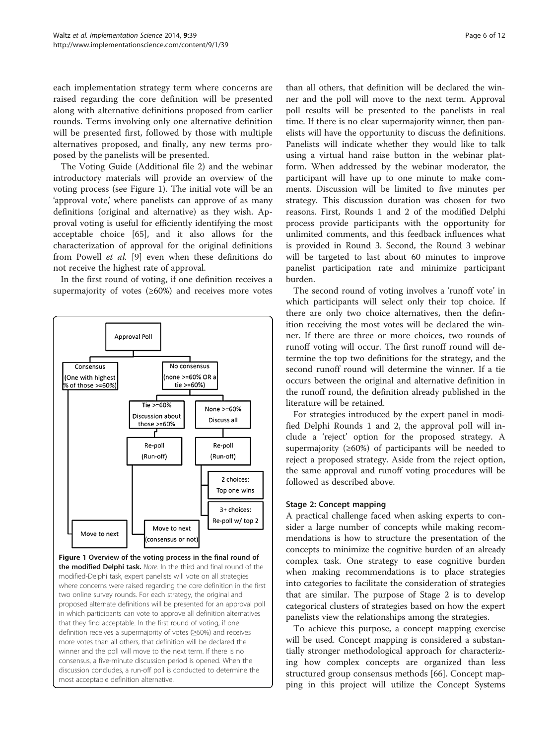each implementation strategy term where concerns are raised regarding the core definition will be presented along with alternative definitions proposed from earlier rounds. Terms involving only one alternative definition will be presented first, followed by those with multiple alternatives proposed, and finally, any new terms proposed by the panelists will be presented.

The Voting Guide (Additional file [2\)](#page-9-0) and the webinar introductory materials will provide an overview of the voting process (see Figure 1). The initial vote will be an 'approval vote,' where panelists can approve of as many definitions (original and alternative) as they wish. Approval voting is useful for efficiently identifying the most acceptable choice [[65\]](#page-10-0), and it also allows for the characterization of approval for the original definitions from Powell et al. [\[9](#page-9-0)] even when these definitions do not receive the highest rate of approval.

In the first round of voting, if one definition receives a supermajority of votes  $(\geq 60\%)$  and receives more votes



Figure 1 Overview of the voting process in the final round of the modified Delphi task. Note. In the third and final round of the modified-Delphi task, expert panelists will vote on all strategies where concerns were raised regarding the core definition in the first two online survey rounds. For each strategy, the original and proposed alternate definitions will be presented for an approval poll in which participants can vote to approve all definition alternatives that they find acceptable. In the first round of voting, if one definition receives a supermajority of votes (≥60%) and receives more votes than all others, that definition will be declared the winner and the poll will move to the next term. If there is no consensus, a five-minute discussion period is opened. When the discussion concludes, a run-off poll is conducted to determine the most acceptable definition alternative.

than all others, that definition will be declared the winner and the poll will move to the next term. Approval poll results will be presented to the panelists in real time. If there is no clear supermajority winner, then panelists will have the opportunity to discuss the definitions. Panelists will indicate whether they would like to talk using a virtual hand raise button in the webinar platform. When addressed by the webinar moderator, the participant will have up to one minute to make comments. Discussion will be limited to five minutes per strategy. This discussion duration was chosen for two reasons. First, Rounds 1 and 2 of the modified Delphi process provide participants with the opportunity for unlimited comments, and this feedback influences what is provided in Round 3. Second, the Round 3 webinar will be targeted to last about 60 minutes to improve panelist participation rate and minimize participant burden.

The second round of voting involves a 'runoff vote' in which participants will select only their top choice. If there are only two choice alternatives, then the definition receiving the most votes will be declared the winner. If there are three or more choices, two rounds of runoff voting will occur. The first runoff round will determine the top two definitions for the strategy, and the second runoff round will determine the winner. If a tie occurs between the original and alternative definition in the runoff round, the definition already published in the literature will be retained.

For strategies introduced by the expert panel in modified Delphi Rounds 1 and 2, the approval poll will include a 'reject' option for the proposed strategy. A supermajority (≥60%) of participants will be needed to reject a proposed strategy. Aside from the reject option, the same approval and runoff voting procedures will be followed as described above.

# Stage 2: Concept mapping

A practical challenge faced when asking experts to consider a large number of concepts while making recommendations is how to structure the presentation of the concepts to minimize the cognitive burden of an already complex task. One strategy to ease cognitive burden when making recommendations is to place strategies into categories to facilitate the consideration of strategies that are similar. The purpose of Stage 2 is to develop categorical clusters of strategies based on how the expert panelists view the relationships among the strategies.

To achieve this purpose, a concept mapping exercise will be used. Concept mapping is considered a substantially stronger methodological approach for characterizing how complex concepts are organized than less structured group consensus methods [\[66\]](#page-11-0). Concept mapping in this project will utilize the Concept Systems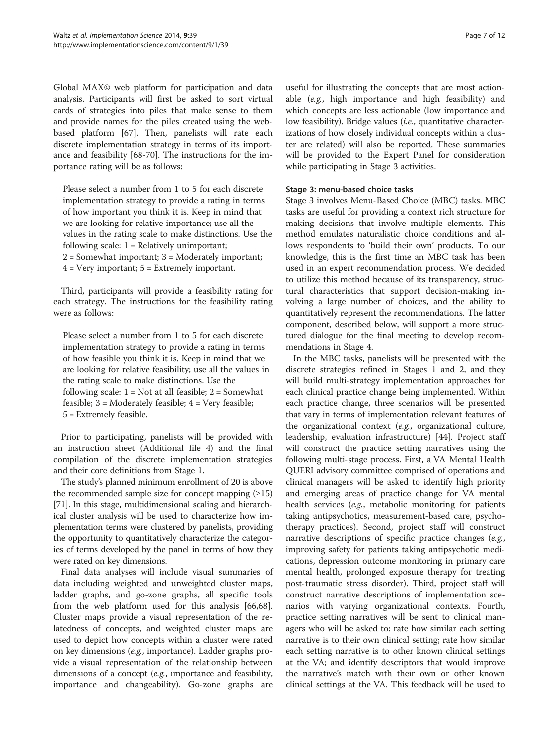Global MAX© web platform for participation and data analysis. Participants will first be asked to sort virtual cards of strategies into piles that make sense to them and provide names for the piles created using the webbased platform [\[67\]](#page-11-0). Then, panelists will rate each discrete implementation strategy in terms of its importance and feasibility [[68-70](#page-11-0)]. The instructions for the importance rating will be as follows:

Please select a number from 1 to 5 for each discrete implementation strategy to provide a rating in terms of how important you think it is. Keep in mind that we are looking for relative importance; use all the values in the rating scale to make distinctions. Use the following scale:  $1 =$  Relatively unimportant; 2 = Somewhat important; 3 = Moderately important;  $4 = \text{Very important}; 5 = \text{Extremely important}.$ 

Third, participants will provide a feasibility rating for each strategy. The instructions for the feasibility rating were as follows:

Please select a number from 1 to 5 for each discrete implementation strategy to provide a rating in terms of how feasible you think it is. Keep in mind that we are looking for relative feasibility; use all the values in the rating scale to make distinctions. Use the following scale:  $1 = Not$  at all feasible;  $2 = Somewhat$ feasible;  $3 =$  Moderately feasible;  $4 =$  Very feasible; 5 = Extremely feasible.

Prior to participating, panelists will be provided with an instruction sheet (Additional file [4](#page-9-0)) and the final compilation of the discrete implementation strategies and their core definitions from Stage 1.

The study's planned minimum enrollment of 20 is above the recommended sample size for concept mapping  $(≥15)$ [[71](#page-11-0)]. In this stage, multidimensional scaling and hierarchical cluster analysis will be used to characterize how implementation terms were clustered by panelists, providing the opportunity to quantitatively characterize the categories of terms developed by the panel in terms of how they were rated on key dimensions.

Final data analyses will include visual summaries of data including weighted and unweighted cluster maps, ladder graphs, and go-zone graphs, all specific tools from the web platform used for this analysis [\[66,68](#page-11-0)]. Cluster maps provide a visual representation of the relatedness of concepts, and weighted cluster maps are used to depict how concepts within a cluster were rated on key dimensions (e.g., importance). Ladder graphs provide a visual representation of the relationship between dimensions of a concept (e.g., importance and feasibility, importance and changeability). Go-zone graphs are

useful for illustrating the concepts that are most actionable (e.g., high importance and high feasibility) and which concepts are less actionable (low importance and low feasibility). Bridge values (i.e., quantitative characterizations of how closely individual concepts within a cluster are related) will also be reported. These summaries will be provided to the Expert Panel for consideration while participating in Stage 3 activities.

## Stage 3: menu-based choice tasks

Stage 3 involves Menu-Based Choice (MBC) tasks. MBC tasks are useful for providing a context rich structure for making decisions that involve multiple elements. This method emulates naturalistic choice conditions and allows respondents to 'build their own' products. To our knowledge, this is the first time an MBC task has been used in an expert recommendation process. We decided to utilize this method because of its transparency, structural characteristics that support decision-making involving a large number of choices, and the ability to quantitatively represent the recommendations. The latter component, described below, will support a more structured dialogue for the final meeting to develop recommendations in Stage 4.

In the MBC tasks, panelists will be presented with the discrete strategies refined in Stages 1 and 2, and they will build multi-strategy implementation approaches for each clinical practice change being implemented. Within each practice change, three scenarios will be presented that vary in terms of implementation relevant features of the organizational context (e.g., organizational culture, leadership, evaluation infrastructure) [\[44](#page-10-0)]. Project staff will construct the practice setting narratives using the following multi-stage process. First, a VA Mental Health QUERI advisory committee comprised of operations and clinical managers will be asked to identify high priority and emerging areas of practice change for VA mental health services (e.g., metabolic monitoring for patients taking antipsychotics, measurement-based care, psychotherapy practices). Second, project staff will construct narrative descriptions of specific practice changes (e.g., improving safety for patients taking antipsychotic medications, depression outcome monitoring in primary care mental health, prolonged exposure therapy for treating post-traumatic stress disorder). Third, project staff will construct narrative descriptions of implementation scenarios with varying organizational contexts. Fourth, practice setting narratives will be sent to clinical managers who will be asked to: rate how similar each setting narrative is to their own clinical setting; rate how similar each setting narrative is to other known clinical settings at the VA; and identify descriptors that would improve the narrative's match with their own or other known clinical settings at the VA. This feedback will be used to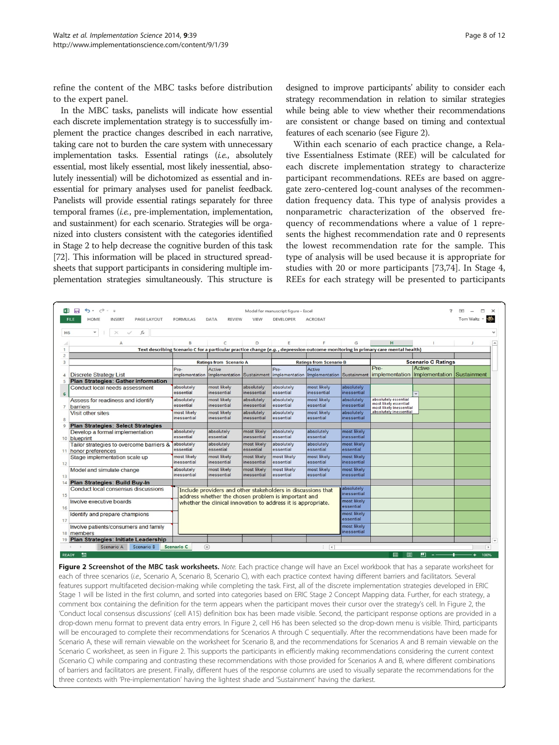refine the content of the MBC tasks before distribution to the expert panel.

In the MBC tasks, panelists will indicate how essential each discrete implementation strategy is to successfully implement the practice changes described in each narrative, taking care not to burden the care system with unnecessary implementation tasks. Essential ratings *(i.e.*, absolutely essential, most likely essential, most likely inessential, absolutely inessential) will be dichotomized as essential and inessential for primary analyses used for panelist feedback. Panelists will provide essential ratings separately for three temporal frames (i.e., pre-implementation, implementation, and sustainment) for each scenario. Strategies will be organized into clusters consistent with the categories identified in Stage 2 to help decrease the cognitive burden of this task [[72](#page-11-0)]. This information will be placed in structured spreadsheets that support participants in considering multiple implementation strategies simultaneously. This structure is

designed to improve participants' ability to consider each strategy recommendation in relation to similar strategies while being able to view whether their recommendations are consistent or change based on timing and contextual features of each scenario (see Figure 2).

Within each scenario of each practice change, a Relative Essentialness Estimate (REE) will be calculated for each discrete implementation strategy to characterize participant recommendations. REEs are based on aggregate zero-centered log-count analyses of the recommendation frequency data. This type of analysis provides a nonparametric characterization of the observed frequency of recommendations where a value of 1 represents the highest recommendation rate and 0 represents the lowest recommendation rate for the sample. This type of analysis will be used because it is appropriate for studies with 20 or more participants [\[73,74](#page-11-0)]. In Stage 4, REEs for each strategy will be presented to participants

| <b>FILE</b><br><b>HOME</b><br>PAGE LAYOUT<br><b>INSERT</b>                                                                                                        | <b>FORMULAS</b>                                                                           | DATA<br><b>REVIEW</b>      | <b>VIEW</b>                    | <b>DEVELOPER</b>         | <b>ACROBAT</b>                                     |                            |                                                                                                                                 |  | Tom Waltz |
|-------------------------------------------------------------------------------------------------------------------------------------------------------------------|-------------------------------------------------------------------------------------------|----------------------------|--------------------------------|--------------------------|----------------------------------------------------|----------------------------|---------------------------------------------------------------------------------------------------------------------------------|--|-----------|
| $f_{\rm x}$                                                                                                                                                       |                                                                                           |                            |                                |                          |                                                    |                            |                                                                                                                                 |  |           |
|                                                                                                                                                                   |                                                                                           |                            |                                |                          |                                                    |                            |                                                                                                                                 |  |           |
| A                                                                                                                                                                 | B                                                                                         | C                          | D                              | E                        |                                                    | G                          | н                                                                                                                               |  |           |
|                                                                                                                                                                   |                                                                                           |                            |                                |                          |                                                    |                            | Text describing Scenario C for a particular practice change (e.g., depression outcome monitoring in primary care mental health) |  |           |
|                                                                                                                                                                   |                                                                                           |                            |                                |                          |                                                    |                            |                                                                                                                                 |  |           |
|                                                                                                                                                                   | <b>Ratings from Scenario A</b>                                                            |                            | <b>Ratings from Scenario B</b> |                          | <b>Scenario C Ratings</b><br>Pre-<br><b>Active</b> |                            |                                                                                                                                 |  |           |
| <b>Discrete Strategy List</b>                                                                                                                                     | Pre-                                                                                      | Active                     |                                | Pre-                     | Active                                             |                            | implementation Implementation Sustainment implementation Implementation Sustainment implementation Implementation Sustainment   |  |           |
| <b>Plan Strategies: Gather information</b>                                                                                                                        |                                                                                           |                            |                                |                          |                                                    |                            |                                                                                                                                 |  |           |
| Conduct local needs assessment                                                                                                                                    | absolutely<br>essential                                                                   | most likely<br>inessential | absolutely<br>inessential      | absolutely<br>essential  | most likely<br>inessential                         | absolutely<br>inessential  |                                                                                                                                 |  |           |
| Assess for readiness and identify<br>barriers                                                                                                                     | absolutely<br>essential                                                                   | most likely<br>inessential | absolutely<br>inessential      | absolutely<br>essential  | most likely<br>essential                           | absolutely<br>inessential  | absolutely essential<br>most likely essential<br>most likely inessential                                                        |  |           |
| Visit other sites                                                                                                                                                 | most likely<br>inessential                                                                | most likely<br>inessential | absolutely<br>inessential      | absolutely<br>essential  | most likely<br>essential                           | absolutely<br>inessential  | absolutely inessential                                                                                                          |  |           |
| <b>Plan Strategies: Select Strategies</b>                                                                                                                         |                                                                                           |                            |                                |                          |                                                    |                            |                                                                                                                                 |  |           |
| Develop a formal implementation<br>10 blueprint                                                                                                                   | absolutely<br>essential                                                                   | absolutely<br>essential    | most likely<br>inessential     | absolutely<br>essential  | absolutely<br>essential                            | most likely<br>inessential |                                                                                                                                 |  |           |
| Tailor strategies to overcome barriers &<br>11 honor preferences                                                                                                  | absolutely<br>essential                                                                   | absolutely<br>essential    | most likely<br>essential       | absolutely<br>essential  | absolutely<br>essential                            | most likely<br>essential   |                                                                                                                                 |  |           |
| Stage implementation scale up                                                                                                                                     | most likely<br>inessential                                                                | most likely<br>inessential | most likely<br>inessential     | most likely<br>essential | most likely<br>essential                           | most likely<br>inessential |                                                                                                                                 |  |           |
| Model and simulate change                                                                                                                                         | absolutely<br>inessential                                                                 | most likely<br>inessential | most likely<br>inessential     | most likely<br>essential | most likely<br>essential                           | most likely<br>inessential |                                                                                                                                 |  |           |
| 14 Plan Strategies: Build Buy-In                                                                                                                                  |                                                                                           |                            |                                |                          |                                                    |                            |                                                                                                                                 |  |           |
| <b>Conduct local consensus discussions</b><br>Include providers and other stakeholders in discussions that<br>address whether the chosen problem is important and |                                                                                           |                            |                                |                          |                                                    | absolutely<br>inessential  |                                                                                                                                 |  |           |
| Involve executive boards                                                                                                                                          | most likely<br>whether the clinical innovation to address it is appropriate.<br>essential |                            |                                |                          |                                                    |                            |                                                                                                                                 |  |           |
| Identify and prepare champions                                                                                                                                    | most likely<br>essential                                                                  |                            |                                |                          |                                                    |                            |                                                                                                                                 |  |           |
| Involve patients/consumers and family<br>18 members                                                                                                               |                                                                                           |                            |                                |                          |                                                    | most likely<br>nessential  |                                                                                                                                 |  |           |
| 19 Plan Strategies: Initiate Leadership                                                                                                                           |                                                                                           |                            |                                |                          |                                                    |                            |                                                                                                                                 |  |           |

Figure 2 Screenshot of the MBC task worksheets. Note. Each practice change will have an Excel workbook that has a separate worksheet for each of three scenarios (i.e., Scenario A, Scenario B, Scenario C), with each practice context having different barriers and facilitators. Several features support multifaceted decision-making while completing the task. First, all of the discrete implementation strategies developed in ERIC Stage 1 will be listed in the first column, and sorted into categories based on ERIC Stage 2 Concept Mapping data. Further, for each strategy, a comment box containing the definition for the term appears when the participant moves their cursor over the strategy's cell. In Figure 2, the 'Conduct local consensus discussions' (cell A15) definition box has been made visible. Second, the participant response options are provided in a drop-down menu format to prevent data entry errors. In Figure 2, cell H6 has been selected so the drop-down menu is visible. Third, participants will be encouraged to complete their recommendations for Scenarios A through C sequentially. After the recommendations have been made for Scenario A, these will remain viewable on the worksheet for Scenario B, and the recommendations for Scenarios A and B remain viewable on the Scenario C worksheet, as seen in Figure 2. This supports the participants in efficiently making recommendations considering the current context (Scenario C) while comparing and contrasting these recommendations with those provided for Scenarios A and B, where different combinations of barriers and facilitators are present. Finally, different hues of the response columns are used to visually separate the recommendations for the three contexts with 'Pre-implementation' having the lightest shade and 'Sustainment' having the darkest.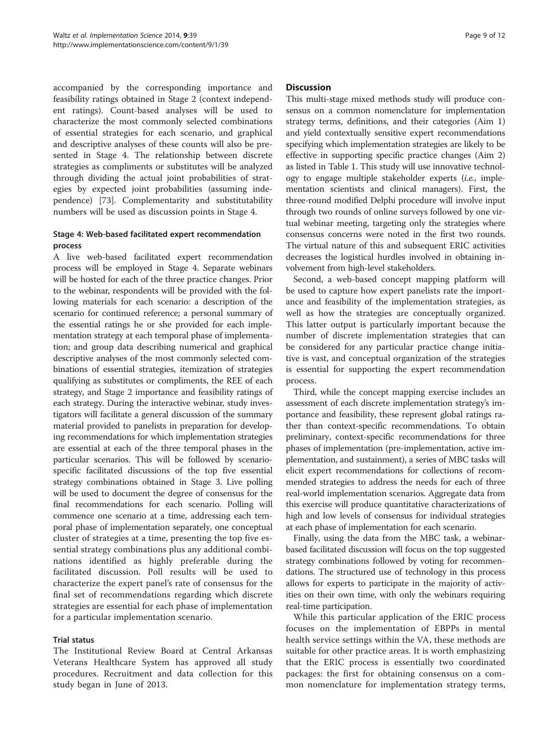accompanied by the corresponding importance and feasibility ratings obtained in Stage 2 (context independent ratings). Count-based analyses will be used to characterize the most commonly selected combinations of essential strategies for each scenario, and graphical and descriptive analyses of these counts will also be presented in Stage 4. The relationship between discrete strategies as compliments or substitutes will be analyzed through dividing the actual joint probabilities of strategies by expected joint probabilities (assuming independence) [[73](#page-11-0)]. Complementarity and substitutability numbers will be used as discussion points in Stage 4.

# Stage 4: Web-based facilitated expert recommendation process

A live web-based facilitated expert recommendation process will be employed in Stage 4. Separate webinars will be hosted for each of the three practice changes. Prior to the webinar, respondents will be provided with the following materials for each scenario: a description of the scenario for continued reference; a personal summary of the essential ratings he or she provided for each implementation strategy at each temporal phase of implementation; and group data describing numerical and graphical descriptive analyses of the most commonly selected combinations of essential strategies, itemization of strategies qualifying as substitutes or compliments, the REE of each strategy, and Stage 2 importance and feasibility ratings of each strategy. During the interactive webinar, study investigators will facilitate a general discussion of the summary material provided to panelists in preparation for developing recommendations for which implementation strategies are essential at each of the three temporal phases in the particular scenarios. This will be followed by scenariospecific facilitated discussions of the top five essential strategy combinations obtained in Stage 3. Live polling will be used to document the degree of consensus for the final recommendations for each scenario. Polling will commence one scenario at a time, addressing each temporal phase of implementation separately, one conceptual cluster of strategies at a time, presenting the top five essential strategy combinations plus any additional combinations identified as highly preferable during the facilitated discussion. Poll results will be used to characterize the expert panel's rate of consensus for the final set of recommendations regarding which discrete strategies are essential for each phase of implementation for a particular implementation scenario.

# Trial status

The Institutional Review Board at Central Arkansas Veterans Healthcare System has approved all study procedures. Recruitment and data collection for this study began in June of 2013.

# **Discussion**

This multi-stage mixed methods study will produce consensus on a common nomenclature for implementation strategy terms, definitions, and their categories (Aim 1) and yield contextually sensitive expert recommendations specifying which implementation strategies are likely to be effective in supporting specific practice changes (Aim 2) as listed in Table [1](#page-3-0). This study will use innovative technology to engage multiple stakeholder experts (i.e., implementation scientists and clinical managers). First, the three-round modified Delphi procedure will involve input through two rounds of online surveys followed by one virtual webinar meeting, targeting only the strategies where consensus concerns were noted in the first two rounds. The virtual nature of this and subsequent ERIC activities decreases the logistical hurdles involved in obtaining involvement from high-level stakeholders.

Second, a web-based concept mapping platform will be used to capture how expert panelists rate the importance and feasibility of the implementation strategies, as well as how the strategies are conceptually organized. This latter output is particularly important because the number of discrete implementation strategies that can be considered for any particular practice change initiative is vast, and conceptual organization of the strategies is essential for supporting the expert recommendation process.

Third, while the concept mapping exercise includes an assessment of each discrete implementation strategy's importance and feasibility, these represent global ratings rather than context-specific recommendations. To obtain preliminary, context-specific recommendations for three phases of implementation (pre-implementation, active implementation, and sustainment), a series of MBC tasks will elicit expert recommendations for collections of recommended strategies to address the needs for each of three real-world implementation scenarios. Aggregate data from this exercise will produce quantitative characterizations of high and low levels of consensus for individual strategies at each phase of implementation for each scenario.

Finally, using the data from the MBC task, a webinarbased facilitated discussion will focus on the top suggested strategy combinations followed by voting for recommendations. The structured use of technology in this process allows for experts to participate in the majority of activities on their own time, with only the webinars requiring real-time participation.

While this particular application of the ERIC process focuses on the implementation of EBPPs in mental health service settings within the VA, these methods are suitable for other practice areas. It is worth emphasizing that the ERIC process is essentially two coordinated packages: the first for obtaining consensus on a common nomenclature for implementation strategy terms,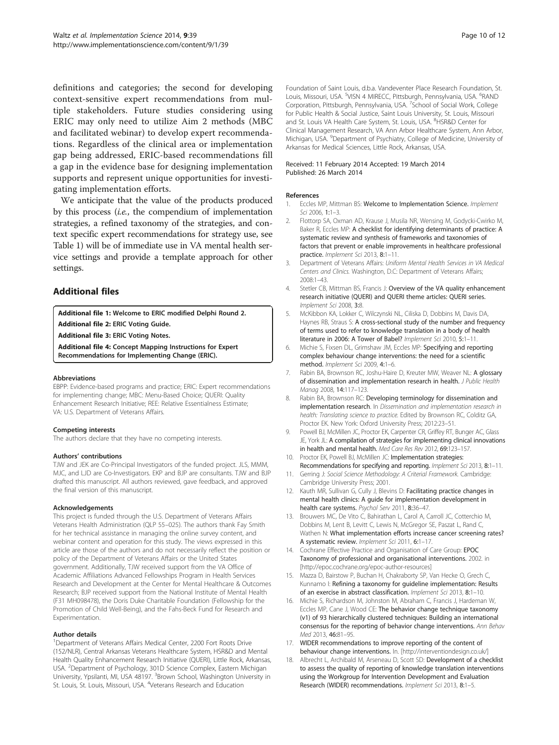<span id="page-9-0"></span>definitions and categories; the second for developing context-sensitive expert recommendations from multiple stakeholders. Future studies considering using ERIC may only need to utilize Aim 2 methods (MBC and facilitated webinar) to develop expert recommendations. Regardless of the clinical area or implementation gap being addressed, ERIC-based recommendations fill a gap in the evidence base for designing implementation supports and represent unique opportunities for investigating implementation efforts.

We anticipate that the value of the products produced by this process (i.e., the compendium of implementation strategies, a refined taxonomy of the strategies, and context specific expert recommendations for strategy use, see Table [1\)](#page-3-0) will be of immediate use in VA mental health service settings and provide a template approach for other settings.

# Additional files

[Additional file 1:](http://www.biomedcentral.com/content/supplementary/1748-5908-9-39-S1.docx) Welcome to ERIC modified Delphi Round 2.

[Additional file 2:](http://www.biomedcentral.com/content/supplementary/1748-5908-9-39-S2.docx) ERIC Voting Guide.

[Additional file 3:](http://www.biomedcentral.com/content/supplementary/1748-5908-9-39-S3.docx) ERIC Voting Notes.

[Additional file 4:](http://www.biomedcentral.com/content/supplementary/1748-5908-9-39-S4.docx) Concept Mapping Instructions for Expert Recommendations for Implementing Change (ERIC).

#### Abbreviations

EBPP: Evidence-based programs and practice; ERIC: Expert recommendations for implementing change; MBC: Menu-Based Choice; QUERI: Quality Enhancement Research Initiative; REE: Relative Essentialness Estimate; VA: U.S. Department of Veterans Affairs.

#### Competing interests

The authors declare that they have no competing interests.

#### Authors' contributions

TJW and JEK are Co-Principal Investigators of the funded project. JLS, MMM, MJC, and LJD are Co-Investigators. EKP and BJP are consultants. TJW and BJP drafted this manuscript. All authors reviewed, gave feedback, and approved the final version of this manuscript.

#### Acknowledgements

This project is funded through the U.S. Department of Veterans Affairs Veterans Health Administration (QLP 55–025). The authors thank Fay Smith for her technical assistance in managing the online survey content, and webinar content and operation for this study. The views expressed in this article are those of the authors and do not necessarily reflect the position or policy of the Department of Veterans Affairs or the United States government. Additionally, TJW received support from the VA Office of Academic Affiliations Advanced Fellowships Program in Health Services Research and Development at the Center for Mental Healthcare & Outcomes Research; BJP received support from the National Institute of Mental Health (F31 MH098478), the Doris Duke Charitable Foundation (Fellowship for the Promotion of Child Well-Being), and the Fahs-Beck Fund for Research and Experimentation.

#### Author details

<sup>1</sup>Department of Veterans Affairs Medical Center, 2200 Fort Roots Drive (152/NLR), Central Arkansas Veterans Healthcare System, HSR&D and Mental Health Quality Enhancement Research Initiative (QUERI), Little Rock, Arkansas, USA. <sup>2</sup>Department of Psychology, 301D Science Complex, Eastern Michigan University, Ypsilanti, MI, USA 48197. <sup>3</sup> Brown School, Washington University in St. Louis, St. Louis, Missouri, USA. <sup>4</sup>Veterans Research and Education

Foundation of Saint Louis, d.b.a. Vandeventer Place Research Foundation, St. Louis, Missouri, USA. <sup>5</sup>VISN 4 MIRECC, Pittsburgh, Pennsylvania, USA. <sup>6</sup>RAND Corporation, Pittsburgh, Pennsylvania, USA. <sup>7</sup> School of Social Work, College for Public Health & Social Justice, Saint Louis University, St. Louis, Missouri and St. Louis VA Health Care System, St. Louis, USA. <sup>8</sup>HSR&D Center for Clinical Management Research, VA Ann Arbor Healthcare System, Ann Arbor, Michigan, USA. <sup>9</sup>Department of Psychiatry, College of Medicine, University of Arkansas for Medical Sciences, Little Rock, Arkansas, USA.

#### Received: 11 February 2014 Accepted: 19 March 2014 Published: 26 March 2014

#### References

- 1. Eccles MP, Mittman BS: Welcome to Implementation Science. Implement Sci 2006, 1:1–3.
- 2. Flottorp SA, Oxman AD, Krause J, Musila NR, Wensing M, Godycki-Cwirko M, Baker R, Eccles MP: A checklist for identifying determinants of practice: A systematic review and synthesis of frameworks and taxonomies of factors that prevent or enable improvements in healthcare professional practice. Implement Sci 2013, 8:1–11.
- 3. Department of Veterans Affairs: Uniform Mental Health Services in VA Medical Centers and Clinics. Washington, D.C: Department of Veterans Affairs; 2008:1–43.
- 4. Stetler CB, Mittman BS, Francis J: Overview of the VA quality enhancement research initiative (QUERI) and QUERI theme articles: QUERI series. Implement Sci 2008, 3:8.
- 5. McKibbon KA, Lokker C, Wilczynski NL, Ciliska D, Dobbins M, Davis DA, Haynes RB, Straus S: A cross-sectional study of the number and frequency of terms used to refer to knowledge translation in a body of health literature in 2006: A Tower of Babel? Implement Sci 2010, 5:1–11.
- 6. Michie S, Fixsen DL, Grimshaw JM, Eccles MP: Specifying and reporting complex behaviour change interventions: the need for a scientific method. Implement Sci 2009, 4:1–6.
- 7. Rabin BA, Brownson RC, Joshu-Haire D, Kreuter MW, Weaver NL: A glossary of dissemination and implementation research in health. J Public Health Manag 2008, 14:117–123.
- 8. Rabin BA, Brownson RC: Developing terminology for dissemination and implementation research. In Dissemination and implementation research in health: Translating science to practice. Edited by Brownson RC, Colditz GA, Proctor EK. New York: Oxford University Press; 2012:23–51.
- 9. Powell BJ, McMillen JC, Proctor EK, Carpenter CR, Griffey RT, Bunger AC, Glass JE, York JL: A compilation of strategies for implementing clinical innovations in health and mental health. Med Care Res Rev 2012, 69:123–157.
- 10. Proctor EK, Powell BJ, McMillen JC: Implementation strategies: Recommendations for specifying and reporting. Implement Sci 2013, 8:1-11.
- 11. Gerring J: Social Science Methodology: A Criterial Framework. Cambridge: Cambridge University Press; 2001.
- 12. Kauth MR, Sullivan G, Cully J, Blevins D: Facilitating practice changes in mental health clinics: A guide for implementation development in health care systems. Psychol Serv 2011, 8:36–47.
- 13. Brouwers MC, De Vito C, Bahirathan L, Carol A, Carroll JC, Cotterchio M, Dobbins M, Lent B, Levitt C, Lewis N, McGregor SE, Paszat L, Rand C, Wathen N: What implementation efforts increase cancer screening rates? A systematic review. Implement Sci 2011, 6:1–17.
- 14. Cochrane Effective Practice and Organisation of Care Group: EPOC Taxonomy of professional and organisational interventions. 2002. in [<http://epoc.cochrane.org/epoc-author-resources>]
- 15. Mazza D, Bairstow P, Buchan H, Chakraborty SP, Van Hecke O, Grech C, Kunnamo I: Refining a taxonomy for guideline implementation: Results of an exercise in abstract classification. Implement Sci 2013, 8:1–10.
- 16. Michie S, Richardson M, Johnston M, Abraham C, Francis J, Hardeman W, Eccles MP, Cane J, Wood CE: The behavior change technique taxonomy (v1) of 93 hierarchically clustered techniques: Building an international consensus for the reporting of behavior change interventions. Ann Behav Med 2013, 46:81-95.
- 17. WIDER recommendations to improve reporting of the content of behaviour change interventions. In. [\[http://interventiondesign.co.uk/\]](http://interventiondesign.co.uk/)
- 18. Albrecht L, Archibald M, Arseneau D, Scott SD: Development of a checklist to assess the quality of reporting of knowledge translation interventions using the Workgroup for Intervention Development and Evaluation Research (WIDER) recommendations. Implement Sci 2013, 8:1-5.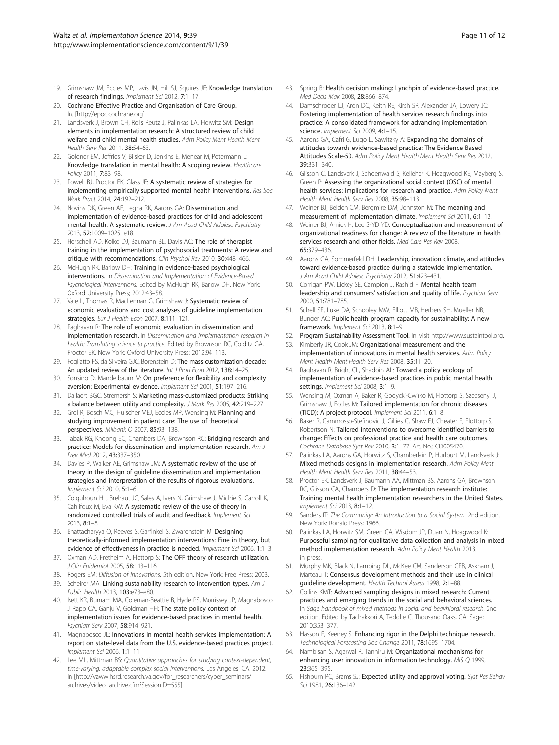- <span id="page-10-0"></span>19. Grimshaw JM, Eccles MP, Lavis JN, Hill SJ, Squires JE: Knowledge translation of research findings. Implement Sci 2012, 7:1–17.
- 20. Cochrane Effective Practice and Organisation of Care Group. In. [\[http://epoc.cochrane.org\]](http://epoc.cochrane.org/)
- 21. Landsverk J, Brown CH, Rolls Reutz J, Palinkas LA, Horwitz SM: Design elements in implementation research: A structured review of child welfare and child mental health studies. Adm Policy Ment Health Ment Health Serv Res 2011, 38:54–63.
- 22. Goldner EM, Jeffries V, Bilsker D, Jenkins E, Menear M, Petermann L: Knowledge translation in mental health: A scoping review. Healthcare Policy 2011, 7:83–98.
- 23. Powell BJ, Proctor EK, Glass JE: A systematic review of strategies for implementing empirically supported mental health interventions. Res Soc Work Pract 2014, 24:192–212.
- 24. Novins DK, Green AE, Legha RK, Aarons GA: Dissemination and implementation of evidence-based practices for child and adolescent mental health: A systematic review. J Am Acad Child Adolesc Psychiatry 2013, 52:1009–1025. e18.
- 25. Herschell AD, Kolko DJ, Baumann BL, Davis AC: The role of therapist training in the implementation of psychosocial treatments: A review and critique with recommendations. Clin Psychol Rev 2010, 30:448–466.
- 26. McHugh RK, Barlow DH: Training in evidence-based psychological interventions. In Dissemination and Implementation of Evidence-Based Psychological Interventions. Edited by McHugh RK, Barlow DH. New York: Oxford University Press; 2012:43–58.
- 27. Vale L, Thomas R, MacLennan G, Grimshaw J: Systematic review of economic evaluations and cost analyses of guideline implementation strategies. Fur J Health Fcon 2007, 8:111-121.
- 28. Raghavan R: The role of economic evaluation in dissemination and implementation research. In Dissemination and implementation research in health: Translating science to practice. Edited by Brownson RC, Colditz GA, Proctor EK. New York: Oxford University Press; 2012:94–113.
- 29. Fogliatto FS, da Silveira GJC, Borenstein D: The mass customization decade: An updated review of the literature. Int J Prod Econ 2012, 138:14-25.
- 30. Sonsino D, Mandelbaum M: On preference for flexibility and complexity aversion: Experimental evidence. Implement Sci 2001, 51:197-216.
- 31. Dallaert BGC, Stremersh S: Marketing mass-customized products: Striking a balance between utility and complexity. J Mark Res 2005, 42:219–227.
- 32. Grol R, Bosch MC, Hulscher MEJ, Eccles MP, Wensing M: Planning and studying improvement in patient care: The use of theoretical perspectives. Milbank Q 2007, 85:93–138.
- 33. Tabak RG, Khoong EC, Chambers DA, Brownson RC: Bridging research and practice: Models for dissemination and implementation research. Am J Prev Med 2012, 43:337–350.
- 34. Davies P, Walker AE, Grimshaw JM: A systematic review of the use of theory in the design of guideline dissemination and implementation strategies and interpretation of the results of rigorous evaluations. Implement Sci 2010, 5:1–6.
- 35. Colquhoun HL, Brehaut JC, Sales A, Ivers N, Grimshaw J, Michie S, Carroll K, Cahlifoux M, Eva KW: A systematic review of the use of theory in randomized controlled trials of audit and feedback. Implement Sci 2013, 8:1–8.
- 36. Bhattacharyya O, Reeves S, Garfinkel S, Zwarenstein M: Designing theoretically-informed implementation interventions: Fine in theory, but evidence of effectiveness in practice is needed. Implement Sci 2006, 1:1–3.
- 37. Oxman AD, Fretheim A, Flottorp S: The OFF theory of research utilization. J Clin Epidemiol 2005, 58:113-116.
- 38. Rogers EM: Diffusion of Innovations. 5th edition. New York: Free Press; 2003.
- 39. Scheirer MA: Linking sustainability research to intervention types. Am J Public Health 2013, 103:e73–e80.
- 40. Isett KR, Burnam MA, Coleman-Beattie B, Hyde PS, Morrissey JP, Magnabosco J, Rapp CA, Ganju V, Goldman HH: The state policy context of implementation issues for evidence-based practices in mental health. Psychiatr Serv 2007, 58:914–921.
- 41. Magnabosco JL: Innovations in mental health services implementation: A report on state-level data from the U.S. evidence-based practices project. Implement Sci 2006, 1:1–11.
- 42. Lee ML, Mittman BS: Quantitative approaches for studying context-dependent, time-varying, adaptable complex social interventions. Los Angeles, CA; 2012. In [[http://vaww.hsrd.research.va.gov/for\\_researchers/cyber\\_seminars/](http://vaww.hsrd.research.va.gov/for_researchers/cyber_seminars/archives/video_archive.cfm?SessionID=555) [archives/video\\_archive.cfm?SessionID=555\]](http://vaww.hsrd.research.va.gov/for_researchers/cyber_seminars/archives/video_archive.cfm?SessionID=555)
- 43. Spring B: Health decision making: Lynchpin of evidence-based practice. Med Decis Mak 2008, 28:866–874.
- 44. Damschroder LJ, Aron DC, Keith RE, Kirsh SR, Alexander JA, Lowery JC: Fostering implementation of health services research findings into practice: A consolidated framework for advancing implementation science. Implement Sci 2009, 4:1-15.
- 45. Aarons GA, Cafri G, Lugo L, Sawitzky A: Expanding the domains of attitudes towards evidence-based practice: The Evidence Based Attitudes Scale-50. Adm Policy Ment Health Ment Health Serv Res 2012, 39:331–340.
- Glisson C, Landsverk J, Schoenwald S, Kelleher K, Hoagwood KE, Mayberg S, Green P: Assessing the organizational social context (OSC) of mental health services: implications for research and practice. Adm Policy Ment Health Ment Health Serv Res 2008, 35:98–113.
- 47. Weiner BJ, Belden CM, Bergmire DM, Johnston M: The meaning and measurement of implementation climate. Implement Sci 2011, 6:1-12.
- 48. Weiner BJ, Amick H, Lee S-YD YD: Conceptualization and measurement of organizational readiness for change: A review of the literature in health services research and other fields. Med Care Res Rev 2008, 65:379–436.
- 49. Aarons GA, Sommerfeld DH: Leadership, innovation climate, and attitudes toward evidence-based practice during a statewide implementation. J Am Acad Child Adolesc Psychiatry 2012, 51:423–431.
- 50. Corrigan PW, Lickey SE, Campion J, Rashid F: Mental health team leadership and consumers' satisfaction and quality of life. Psychiatr Serv 2000, 51:781–785.
- 51. Schell SF, Luke DA, Schooley MW, Elliott MB, Herbers SH, Mueller NB, Bunger AC: Public health program capacity for sustainability: A new framework. Implement Sci 2013, 8:1-9.
- 52. Program Sustainability Assessment Tool. In. visit [http://www.sustaintool.org](http://www.sustaintool.org/).
- 53. Kimberly JR, Cook JM: Organizational measurement and the implementation of innovations in mental health services. Adm Policy Ment Health Ment Health Serv Res 2008, 35:11–20.
- 54. Raghavan R, Bright CL, Shadoin AL: Toward a policy ecology of implementation of evidence-based practices in public mental health settings. Implement Sci 2008, 3:1-9.
- 55. Wensing M, Oxman A, Baker R, Godycki-Cwirko M, Flottorp S, Szecsenyi J, Grimshaw J, Eccles M: Tailored implementation for chronic diseases (TICD): A project protocol. Implement Sci 2011, 6:1–8.
- 56. Baker R, Cammosso-Stefinovic J, Gillies C, Shaw EJ, Cheater F, Flottorp S, Robertson N: Tailored interventions to overcome identified barriers to change: Effects on professional practice and health care outcomes. Cochrane Database Syst Rev 2010, 3:1-77. Art. No.: CD005470.
- 57. Palinkas LA, Aarons GA, Horwitz S, Chamberlain P, Hurlburt M, Landsverk J: Mixed methods designs in implementation research. Adm Policy Ment Health Ment Health Serv Res 2011, 38:44–53.
- 58. Proctor EK, Landsverk J, Baumann AA, Mittman BS, Aarons GA, Brownson RC, Glisson CA, Chambers D: The implementation research institute: Training mental health implementation researchers in the United States. Implement Sci 2013, 8:1–12.
- 59. Sanders IT: The Community: An Introduction to a Social System. 2nd edition. New York: Ronald Press; 1966.
- 60. Palinkas LA, Horwitz SM, Green CA, Wisdom JP, Duan N, Hoagwood K: Purposeful sampling for qualitative data collection and analysis in mixed method implementation research. Adm Policy Ment Health 2013. in press.
- 61. Murphy MK, Black N, Lamping DL, McKee CM, Sanderson CFB, Askham J, Marteau T: Consensus development methods and their use in clinical guideline development. Health Technol Assess 1998, 2:1–88.
- 62. Collins KMT: Advanced sampling designs in mixed research: Current practices and emerging trends in the social and behavioral sciences. In Sage handbook of mixed methods in social and beavhioral research. 2nd edition. Edited by Tachakkori A, Teddlie C. Thousand Oaks, CA: Sage; 2010:353–377.
- 63. Hasson F, Keeney S: Enhancing rigor in the Delphi technique research. Technological Forecasting Soc Change 2011, 78:1695–1704.
- 64. Nambisan S, Agarwal R, Tanniru M: Organizational mechanisms for enhancing user innovation in information technology. MIS Q 1999, 23:365–395.
- 65. Fishburn PC, Brams SJ: Expected utility and approval voting. Syst Res Behav Sci 1981, 26:136–142.